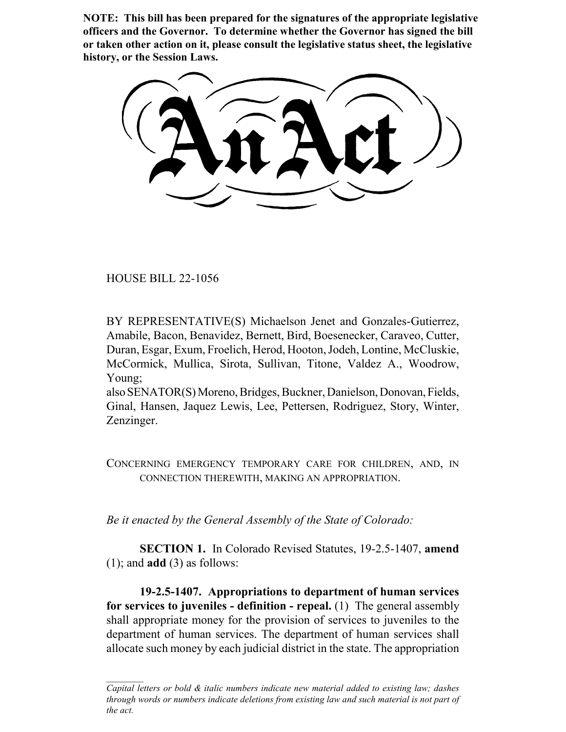**NOTE: This bill has been prepared for the signatures of the appropriate legislative officers and the Governor. To determine whether the Governor has signed the bill or taken other action on it, please consult the legislative status sheet, the legislative history, or the Session Laws.**

HOUSE BILL 22-1056

BY REPRESENTATIVE(S) Michaelson Jenet and Gonzales-Gutierrez, Amabile, Bacon, Benavidez, Bernett, Bird, Boesenecker, Caraveo, Cutter, Duran, Esgar, Exum, Froelich, Herod, Hooton, Jodeh, Lontine, McCluskie, McCormick, Mullica, Sirota, Sullivan, Titone, Valdez A., Woodrow, Young;

also SENATOR(S) Moreno, Bridges, Buckner, Danielson, Donovan, Fields, Ginal, Hansen, Jaquez Lewis, Lee, Pettersen, Rodriguez, Story, Winter, Zenzinger.

CONCERNING EMERGENCY TEMPORARY CARE FOR CHILDREN, AND, IN CONNECTION THEREWITH, MAKING AN APPROPRIATION.

*Be it enacted by the General Assembly of the State of Colorado:*

**SECTION 1.** In Colorado Revised Statutes, 19-2.5-1407, **amend** (1); and **add** (3) as follows:

**19-2.5-1407. Appropriations to department of human services for services to juveniles - definition - repeal.** (1) The general assembly shall appropriate money for the provision of services to juveniles to the department of human services. The department of human services shall allocate such money by each judicial district in the state. The appropriation

*Capital letters or bold & italic numbers indicate new material added to existing law; dashes through words or numbers indicate deletions from existing law and such material is not part of the act.*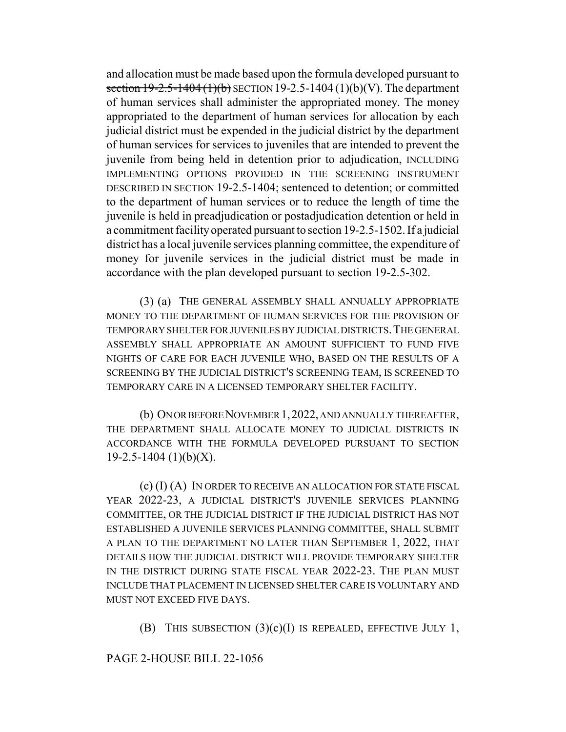and allocation must be made based upon the formula developed pursuant to section  $19-2.5-1404(1)(b)$  SECTION 19-2.5-1404 (1)(b)(V). The department of human services shall administer the appropriated money. The money appropriated to the department of human services for allocation by each judicial district must be expended in the judicial district by the department of human services for services to juveniles that are intended to prevent the juvenile from being held in detention prior to adjudication, INCLUDING IMPLEMENTING OPTIONS PROVIDED IN THE SCREENING INSTRUMENT DESCRIBED IN SECTION 19-2.5-1404; sentenced to detention; or committed to the department of human services or to reduce the length of time the juvenile is held in preadjudication or postadjudication detention or held in a commitment facility operated pursuant to section 19-2.5-1502. If a judicial district has a local juvenile services planning committee, the expenditure of money for juvenile services in the judicial district must be made in accordance with the plan developed pursuant to section 19-2.5-302.

(3) (a) THE GENERAL ASSEMBLY SHALL ANNUALLY APPROPRIATE MONEY TO THE DEPARTMENT OF HUMAN SERVICES FOR THE PROVISION OF TEMPORARY SHELTER FOR JUVENILES BY JUDICIAL DISTRICTS.THE GENERAL ASSEMBLY SHALL APPROPRIATE AN AMOUNT SUFFICIENT TO FUND FIVE NIGHTS OF CARE FOR EACH JUVENILE WHO, BASED ON THE RESULTS OF A SCREENING BY THE JUDICIAL DISTRICT'S SCREENING TEAM, IS SCREENED TO TEMPORARY CARE IN A LICENSED TEMPORARY SHELTER FACILITY.

(b) ON OR BEFORE NOVEMBER 1,2022, AND ANNUALLY THEREAFTER, THE DEPARTMENT SHALL ALLOCATE MONEY TO JUDICIAL DISTRICTS IN ACCORDANCE WITH THE FORMULA DEVELOPED PURSUANT TO SECTION  $19-2.5-1404$  (1)(b)(X).

(c) (I) (A) IN ORDER TO RECEIVE AN ALLOCATION FOR STATE FISCAL YEAR 2022-23, A JUDICIAL DISTRICT'S JUVENILE SERVICES PLANNING COMMITTEE, OR THE JUDICIAL DISTRICT IF THE JUDICIAL DISTRICT HAS NOT ESTABLISHED A JUVENILE SERVICES PLANNING COMMITTEE, SHALL SUBMIT A PLAN TO THE DEPARTMENT NO LATER THAN SEPTEMBER 1, 2022, THAT DETAILS HOW THE JUDICIAL DISTRICT WILL PROVIDE TEMPORARY SHELTER IN THE DISTRICT DURING STATE FISCAL YEAR 2022-23. THE PLAN MUST INCLUDE THAT PLACEMENT IN LICENSED SHELTER CARE IS VOLUNTARY AND MUST NOT EXCEED FIVE DAYS.

(B) THIS SUBSECTION  $(3)(c)(I)$  IS REPEALED, EFFECTIVE JULY 1,

PAGE 2-HOUSE BILL 22-1056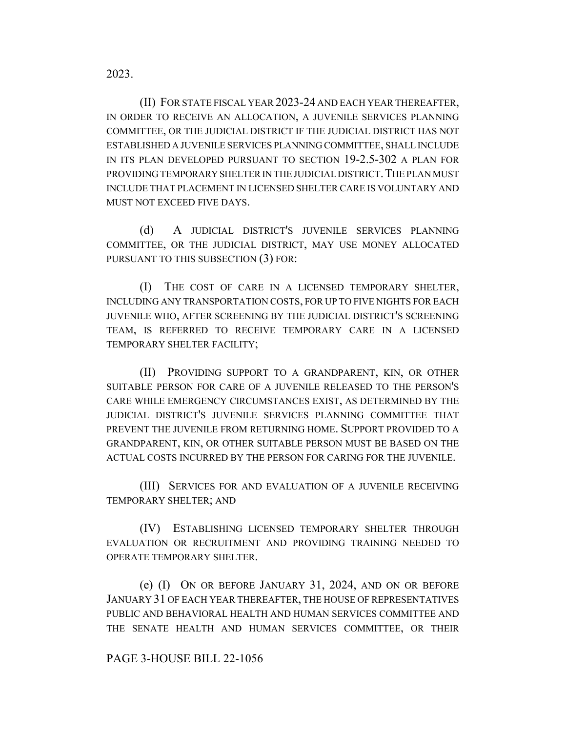(II) FOR STATE FISCAL YEAR 2023-24 AND EACH YEAR THEREAFTER, IN ORDER TO RECEIVE AN ALLOCATION, A JUVENILE SERVICES PLANNING COMMITTEE, OR THE JUDICIAL DISTRICT IF THE JUDICIAL DISTRICT HAS NOT ESTABLISHED A JUVENILE SERVICES PLANNING COMMITTEE, SHALL INCLUDE IN ITS PLAN DEVELOPED PURSUANT TO SECTION 19-2.5-302 A PLAN FOR PROVIDING TEMPORARY SHELTER IN THE JUDICIAL DISTRICT. THE PLAN MUST INCLUDE THAT PLACEMENT IN LICENSED SHELTER CARE IS VOLUNTARY AND MUST NOT EXCEED FIVE DAYS.

(d) A JUDICIAL DISTRICT'S JUVENILE SERVICES PLANNING COMMITTEE, OR THE JUDICIAL DISTRICT, MAY USE MONEY ALLOCATED PURSUANT TO THIS SUBSECTION (3) FOR:

(I) THE COST OF CARE IN A LICENSED TEMPORARY SHELTER, INCLUDING ANY TRANSPORTATION COSTS, FOR UP TO FIVE NIGHTS FOR EACH JUVENILE WHO, AFTER SCREENING BY THE JUDICIAL DISTRICT'S SCREENING TEAM, IS REFERRED TO RECEIVE TEMPORARY CARE IN A LICENSED TEMPORARY SHELTER FACILITY;

(II) PROVIDING SUPPORT TO A GRANDPARENT, KIN, OR OTHER SUITABLE PERSON FOR CARE OF A JUVENILE RELEASED TO THE PERSON'S CARE WHILE EMERGENCY CIRCUMSTANCES EXIST, AS DETERMINED BY THE JUDICIAL DISTRICT'S JUVENILE SERVICES PLANNING COMMITTEE THAT PREVENT THE JUVENILE FROM RETURNING HOME. SUPPORT PROVIDED TO A GRANDPARENT, KIN, OR OTHER SUITABLE PERSON MUST BE BASED ON THE ACTUAL COSTS INCURRED BY THE PERSON FOR CARING FOR THE JUVENILE.

(III) SERVICES FOR AND EVALUATION OF A JUVENILE RECEIVING TEMPORARY SHELTER; AND

(IV) ESTABLISHING LICENSED TEMPORARY SHELTER THROUGH EVALUATION OR RECRUITMENT AND PROVIDING TRAINING NEEDED TO OPERATE TEMPORARY SHELTER.

(e) (I) ON OR BEFORE JANUARY 31, 2024, AND ON OR BEFORE JANUARY 31 OF EACH YEAR THEREAFTER, THE HOUSE OF REPRESENTATIVES PUBLIC AND BEHAVIORAL HEALTH AND HUMAN SERVICES COMMITTEE AND THE SENATE HEALTH AND HUMAN SERVICES COMMITTEE, OR THEIR

## PAGE 3-HOUSE BILL 22-1056

2023.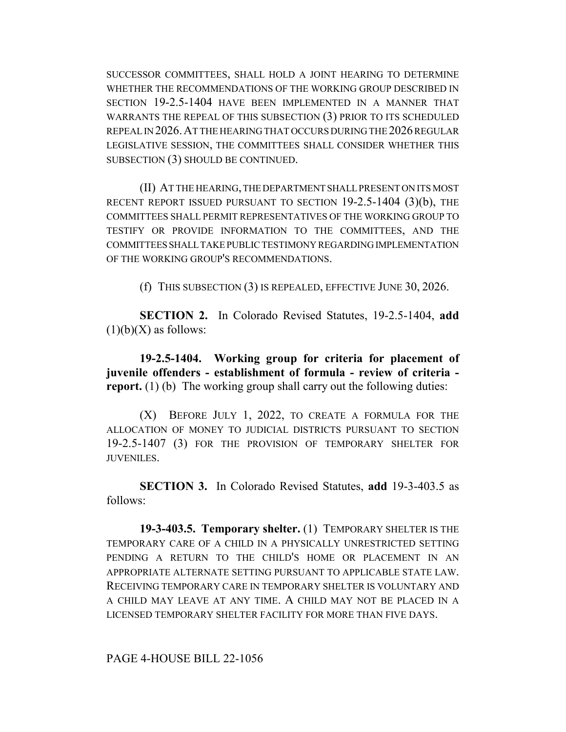SUCCESSOR COMMITTEES, SHALL HOLD A JOINT HEARING TO DETERMINE WHETHER THE RECOMMENDATIONS OF THE WORKING GROUP DESCRIBED IN SECTION 19-2.5-1404 HAVE BEEN IMPLEMENTED IN A MANNER THAT WARRANTS THE REPEAL OF THIS SUBSECTION (3) PRIOR TO ITS SCHEDULED REPEAL IN 2026.AT THE HEARING THAT OCCURS DURING THE 2026 REGULAR LEGISLATIVE SESSION, THE COMMITTEES SHALL CONSIDER WHETHER THIS SUBSECTION (3) SHOULD BE CONTINUED.

(II) AT THE HEARING, THE DEPARTMENT SHALL PRESENT ON ITS MOST RECENT REPORT ISSUED PURSUANT TO SECTION 19-2.5-1404 (3)(b), THE COMMITTEES SHALL PERMIT REPRESENTATIVES OF THE WORKING GROUP TO TESTIFY OR PROVIDE INFORMATION TO THE COMMITTEES, AND THE COMMITTEES SHALL TAKE PUBLIC TESTIMONY REGARDING IMPLEMENTATION OF THE WORKING GROUP'S RECOMMENDATIONS.

(f) THIS SUBSECTION (3) IS REPEALED, EFFECTIVE JUNE 30, 2026.

**SECTION 2.** In Colorado Revised Statutes, 19-2.5-1404, **add**  $(1)(b)(X)$  as follows:

**19-2.5-1404. Working group for criteria for placement of juvenile offenders - establishment of formula - review of criteria report.** (1) (b) The working group shall carry out the following duties:

(X) BEFORE JULY 1, 2022, TO CREATE A FORMULA FOR THE ALLOCATION OF MONEY TO JUDICIAL DISTRICTS PURSUANT TO SECTION 19-2.5-1407 (3) FOR THE PROVISION OF TEMPORARY SHELTER FOR JUVENILES.

**SECTION 3.** In Colorado Revised Statutes, **add** 19-3-403.5 as follows:

**19-3-403.5. Temporary shelter.** (1) TEMPORARY SHELTER IS THE TEMPORARY CARE OF A CHILD IN A PHYSICALLY UNRESTRICTED SETTING PENDING A RETURN TO THE CHILD'S HOME OR PLACEMENT IN AN APPROPRIATE ALTERNATE SETTING PURSUANT TO APPLICABLE STATE LAW. RECEIVING TEMPORARY CARE IN TEMPORARY SHELTER IS VOLUNTARY AND A CHILD MAY LEAVE AT ANY TIME. A CHILD MAY NOT BE PLACED IN A LICENSED TEMPORARY SHELTER FACILITY FOR MORE THAN FIVE DAYS.

PAGE 4-HOUSE BILL 22-1056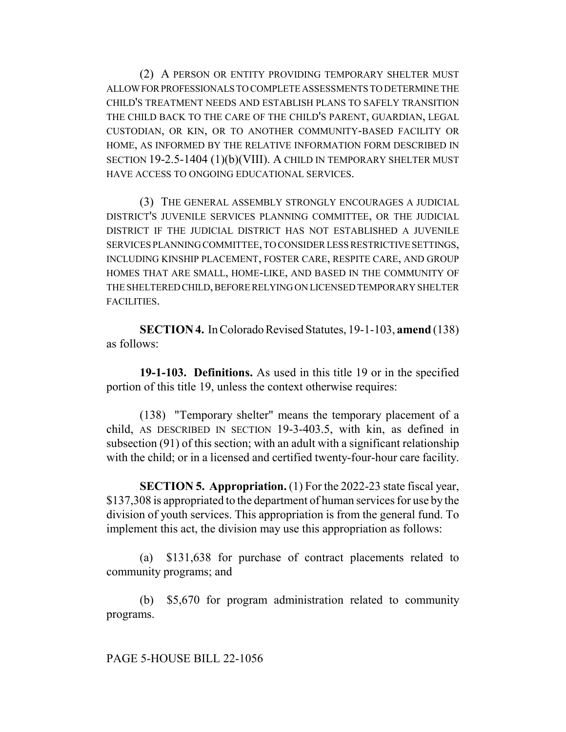(2) A PERSON OR ENTITY PROVIDING TEMPORARY SHELTER MUST ALLOW FOR PROFESSIONALS TO COMPLETE ASSESSMENTS TO DETERMINE THE CHILD'S TREATMENT NEEDS AND ESTABLISH PLANS TO SAFELY TRANSITION THE CHILD BACK TO THE CARE OF THE CHILD'S PARENT, GUARDIAN, LEGAL CUSTODIAN, OR KIN, OR TO ANOTHER COMMUNITY-BASED FACILITY OR HOME, AS INFORMED BY THE RELATIVE INFORMATION FORM DESCRIBED IN SECTION 19-2.5-1404 (1)(b)(VIII). A CHILD IN TEMPORARY SHELTER MUST HAVE ACCESS TO ONGOING EDUCATIONAL SERVICES.

(3) THE GENERAL ASSEMBLY STRONGLY ENCOURAGES A JUDICIAL DISTRICT'S JUVENILE SERVICES PLANNING COMMITTEE, OR THE JUDICIAL DISTRICT IF THE JUDICIAL DISTRICT HAS NOT ESTABLISHED A JUVENILE SERVICES PLANNING COMMITTEE, TO CONSIDER LESS RESTRICTIVE SETTINGS, INCLUDING KINSHIP PLACEMENT, FOSTER CARE, RESPITE CARE, AND GROUP HOMES THAT ARE SMALL, HOME-LIKE, AND BASED IN THE COMMUNITY OF THE SHELTERED CHILD, BEFORE RELYING ON LICENSED TEMPORARY SHELTER FACILITIES.

**SECTION 4.** In Colorado Revised Statutes, 19-1-103, **amend** (138) as follows:

**19-1-103. Definitions.** As used in this title 19 or in the specified portion of this title 19, unless the context otherwise requires:

(138) "Temporary shelter" means the temporary placement of a child, AS DESCRIBED IN SECTION 19-3-403.5, with kin, as defined in subsection (91) of this section; with an adult with a significant relationship with the child; or in a licensed and certified twenty-four-hour care facility.

**SECTION 5. Appropriation.** (1) For the 2022-23 state fiscal year, \$137,308 is appropriated to the department of human services for use by the division of youth services. This appropriation is from the general fund. To implement this act, the division may use this appropriation as follows:

(a) \$131,638 for purchase of contract placements related to community programs; and

(b) \$5,670 for program administration related to community programs.

PAGE 5-HOUSE BILL 22-1056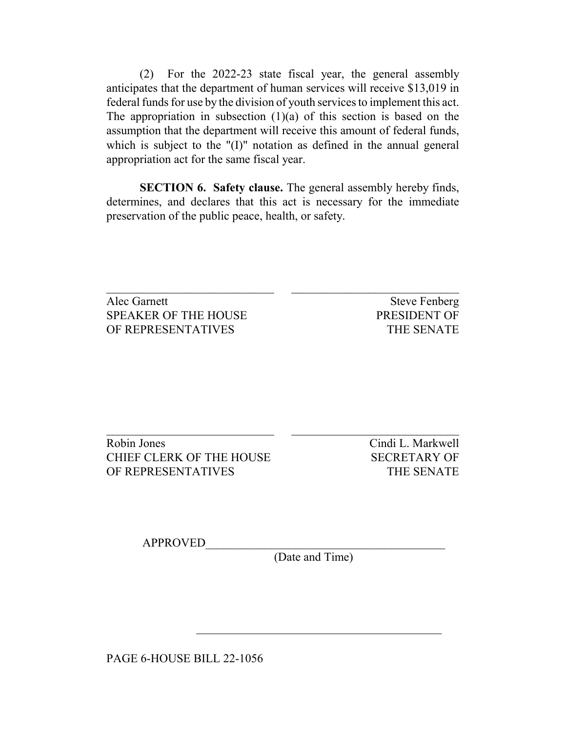(2) For the 2022-23 state fiscal year, the general assembly anticipates that the department of human services will receive \$13,019 in federal funds for use by the division of youth services to implement this act. The appropriation in subsection  $(1)(a)$  of this section is based on the assumption that the department will receive this amount of federal funds, which is subject to the "(I)" notation as defined in the annual general appropriation act for the same fiscal year.

**SECTION 6. Safety clause.** The general assembly hereby finds, determines, and declares that this act is necessary for the immediate preservation of the public peace, health, or safety.

Alec Garnett Steve Fenberg SPEAKER OF THE HOUSE PRESIDENT OF OF REPRESENTATIVES THE SENATE

Robin Jones Cindi L. Markwell CHIEF CLERK OF THE HOUSE SECRETARY OF OF REPRESENTATIVES THE SENATE

APPROVED\_\_\_\_\_\_\_\_\_\_\_\_\_\_\_\_\_\_\_\_\_\_\_\_\_\_\_\_\_\_\_\_\_\_\_\_\_\_\_\_

(Date and Time)

 $\mathcal{L}_\text{max}$  and  $\mathcal{L}_\text{max}$  and  $\mathcal{L}_\text{max}$  and  $\mathcal{L}_\text{max}$ 

PAGE 6-HOUSE BILL 22-1056